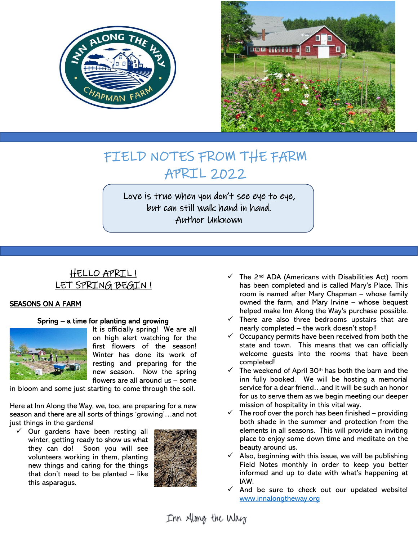



# FIELD NOTES FROM THE FARM APRIL 2022

Love is true when you don't see eye to eye, but can still walk hand in hand. Author Unknown

Ī

## HELLO APRIL ! LET SPRING BEGIN!

### SEASONS ON A FARM

### Spring – a time for planting and growing



It is officially spring! We are all on high alert watching for the first flowers of the season! Winter has done its work of resting and preparing for the new season. Now the spring flowers are all around us – some

in bloom and some just starting to come through the soil.

Here at Inn Along the Way, we, too, are preparing for a new season and there are all sorts of things 'growing'…and not just things in the gardens!

 $\checkmark$  Our gardens have been resting all winter, getting ready to show us what they can do! Soon you will see volunteers working in them, planting new things and caring for the things that don't need to be planted  $-$  like this asparagus.



- $\checkmark$  The 2<sup>nd</sup> ADA (Americans with Disabilities Act) room has been completed and is called Mary's Place. This room is named after Mary Chapman – whose family owned the farm, and Mary Irvine – whose bequest helped make Inn Along the Way's purchase possible.
- $\checkmark$  There are also three bedrooms upstairs that are nearly completed – the work doesn't stop!!
- $\checkmark$  Occupancy permits have been received from both the state and town. This means that we can officially welcome guests into the rooms that have been completed!
- $\checkmark$  The weekend of April 30<sup>th</sup> has both the barn and the inn fully booked. We will be hosting a memorial service for a dear friend…and it will be such an honor for us to serve them as we begin meeting our deeper mission of hospitality in this vital way.
- $\checkmark$  The roof over the porch has been finished providing both shade in the summer and protection from the elements in all seasons. This will provide an inviting place to enjoy some down time and meditate on the beauty around us.
- Also, beginning with this issue, we will be publishing Field Notes monthly in order to keep you better informed and up to date with what's happening at IAW.
- $\checkmark$  And be sure to check out our updated website! [www.innalongtheway.org](http://www.innalongtheway.org/)

Inn Along the Way